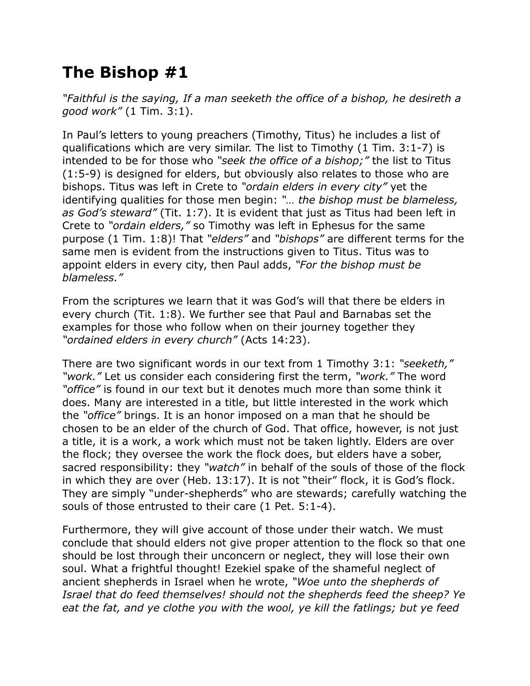## **The Bishop #1**

*"Faithful is the saying, If a man seeketh the office of a bishop, he desireth a good work"* (1 Tim. 3:1).

In Paul's letters to young preachers (Timothy, Titus) he includes a list of qualifications which are very similar. The list to Timothy (1 Tim. 3:1-7) is intended to be for those who *"seek the office of a bishop;"* the list to Titus (1:5-9) is designed for elders, but obviously also relates to those who are bishops. Titus was left in Crete to *"ordain elders in every city"* yet the identifying qualities for those men begin: *"… the bishop must be blameless, as God's steward"* (Tit. 1:7). It is evident that just as Titus had been left in Crete to *"ordain elders,"* so Timothy was left in Ephesus for the same purpose (1 Tim. 1:8)! That *"elders"* and *"bishops"* are different terms for the same men is evident from the instructions given to Titus. Titus was to appoint elders in every city, then Paul adds, *"For the bishop must be blameless."*

From the scriptures we learn that it was God's will that there be elders in every church (Tit. 1:8). We further see that Paul and Barnabas set the examples for those who follow when on their journey together they *"ordained elders in every church"* (Acts 14:23).

There are two significant words in our text from 1 Timothy 3:1: *"seeketh," "work."* Let us consider each considering first the term, *"work."* The word *"office"* is found in our text but it denotes much more than some think it does. Many are interested in a title, but little interested in the work which the *"office"* brings. It is an honor imposed on a man that he should be chosen to be an elder of the church of God. That office, however, is not just a title, it is a work, a work which must not be taken lightly. Elders are over the flock; they oversee the work the flock does, but elders have a sober, sacred responsibility: they *"watch"* in behalf of the souls of those of the flock in which they are over (Heb. 13:17). It is not "their" flock, it is God's flock. They are simply "under-shepherds" who are stewards; carefully watching the souls of those entrusted to their care (1 Pet. 5:1-4).

Furthermore, they will give account of those under their watch. We must conclude that should elders not give proper attention to the flock so that one should be lost through their unconcern or neglect, they will lose their own soul. What a frightful thought! Ezekiel spake of the shameful neglect of ancient shepherds in Israel when he wrote, *"Woe unto the shepherds of Israel that do feed themselves! should not the shepherds feed the sheep? Ye eat the fat, and ye clothe you with the wool, ye kill the fatlings; but ye feed*